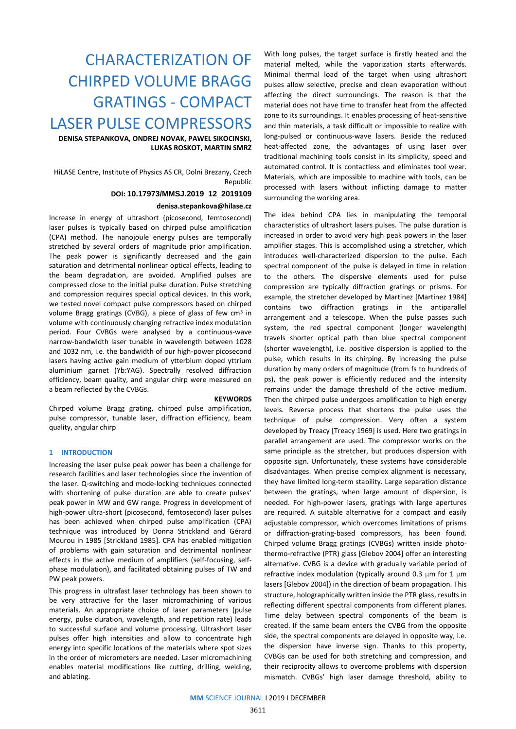# CHARACTERIZATION OF CHIRPED VOLUME BRAGG GRATINGS - COMPACT LASER PULSE COMPRESSORS

**DENISA STEPANKOVA, ONDREJ NOVAK, PAWEL SIKOCINSKI, LUKAS ROSKOT, MARTIN SMRZ**

HiLASE Centre, Institute of Physics AS CR, Dolni Brezany, Czech Republic

#### **DOI: 10.17973/MMSJ.2019\_12\_2019109**

#### **denisa.stepankova@hilase.cz**

Increase in energy of ultrashort (picosecond, femtosecond) laser pulses is typically based on chirped pulse amplification (CPA) method. The nanojoule energy pulses are temporally stretched by several orders of magnitude prior amplification. The peak power is significantly decreased and the gain saturation and detrimental nonlinear optical effects, leading to the beam degradation, are avoided. Amplified pulses are compressed close to the initial pulse duration. Pulse stretching and compression requires special optical devices. In this work, we tested novel compact pulse compressors based on chirped volume Bragg gratings (CVBG), a piece of glass of few cm<sup>3</sup> in volume with continuously changing refractive index modulation period. Four CVBGs were analysed by a continuous-wave narrow-bandwidth laser tunable in wavelength between 1028 and 1032 nm, i.e. the bandwidth of our high-power picosecond lasers having active gain medium of ytterbium doped yttrium aluminium garnet (Yb:YAG). Spectrally resolved diffraction efficiency, beam quality, and angular chirp were measured on a beam reflected by the CVBGs.

#### **KEYWORDS**

Chirped volume Bragg grating, chirped pulse amplification, pulse compressor, tunable laser, diffraction efficiency, beam quality, angular chirp

#### **1 INTRODUCTION**

Increasing the laser pulse peak power has been a challenge for research facilities and laser technologies since the invention of the laser. Q-switching and mode-locking techniques connected with shortening of pulse duration are able to create pulses' peak power in MW and GW range. Progress in development of high-power ultra-short (picosecond, femtosecond) laser pulses has been achieved when chirped pulse amplification (CPA) technique was introduced by Donna Strickland and Gérard Mourou in 1985 [Strickland 1985]. CPA has enabled mitigation of problems with gain saturation and detrimental nonlinear effects in the active medium of amplifiers (self-focusing, selfphase modulation), and facilitated obtaining pulses of TW and PW peak powers.

This progress in ultrafast laser technology has been shown to be very attractive for the laser micromachining of various materials. An appropriate choice of laser parameters (pulse energy, pulse duration, wavelength, and repetition rate) leads to successful surface and volume processing. Ultrashort laser pulses offer high intensities and allow to concentrate high energy into specific locations of the materials where spot sizes in the order of micrometers are needed. Laser micromachining enables material modifications like cutting, drilling, welding, and ablating.

With long pulses, the target surface is firstly heated and the material melted, while the vaporization starts afterwards. Minimal thermal load of the target when using ultrashort pulses allow selective, precise and clean evaporation without affecting the direct surroundings. The reason is that the material does not have time to transfer heat from the affected zone to its surroundings. It enables processing of heat-sensitive and thin materials, a task difficult or impossible to realize with long-pulsed or continuous-wave lasers. Beside the reduced heat-affected zone, the advantages of using laser over traditional machining tools consist in its simplicity, speed and automated control. It is contactless and eliminates tool wear. Materials, which are impossible to machine with tools, can be processed with lasers without inflicting damage to matter surrounding the working area.

The idea behind CPA lies in manipulating the temporal characteristics of ultrashort lasers pulses. The pulse duration is increased in order to avoid very high peak powers in the laser amplifier stages. This is accomplished using a stretcher, which introduces well-characterized dispersion to the pulse. Each spectral component of the pulse is delayed in time in relation to the others. The dispersive elements used for pulse compression are typically diffraction gratings or prisms. For example, the stretcher developed by Martinez [Martinez 1984] contains two diffraction gratings in the antiparallel arrangement and a telescope. When the pulse passes such system, the red spectral component (longer wavelength) travels shorter optical path than blue spectral component (shorter wavelength), i.e. positive dispersion is applied to the pulse, which results in its chirping. By increasing the pulse duration by many orders of magnitude (from fs to hundreds of ps), the peak power is efficiently reduced and the intensity remains under the damage threshold of the active medium. Then the chirped pulse undergoes amplification to high energy levels. Reverse process that shortens the pulse uses the technique of pulse compression. Very often a system developed by Treacy [Treacy 1969] is used. Here two gratings in parallel arrangement are used. The compressor works on the same principle as the stretcher, but produces dispersion with opposite sign. Unfortunately, these systems have considerable disadvantages. When precise complex alignment is necessary, they have limited long-term stability. Large separation distance between the gratings, when large amount of dispersion, is needed. For high-power lasers, gratings with large apertures are required. A suitable alternative for a compact and easily adjustable compressor, which overcomes limitations of prisms or diffraction-grating-based compressors, has been found. Chirped volume Bragg gratings (CVBGs) written inside photothermo-refractive (PTR) glass [Glebov 2004] offer an interesting alternative. CVBG is a device with gradually variable period of refractive index modulation (typically around 0.3 μm for 1 μm lasers [Glebov 2004]) in the direction of beam propagation. This structure, holographically written inside the PTR glass, results in reflecting different spectral components from different planes. Time delay between spectral components of the beam is created. If the same beam enters the CVBG from the opposite side, the spectral components are delayed in opposite way, i.e. the dispersion have inverse sign. Thanks to this property, CVBGs can be used for both stretching and compression, and their reciprocity allows to overcome problems with dispersion mismatch. CVBGs' high laser damage threshold, ability to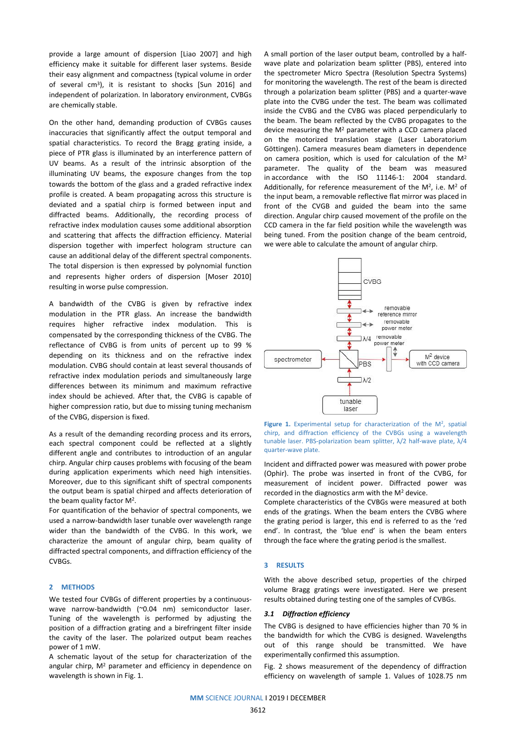provide a large amount of dispersion [Liao 2007] and high efficiency make it suitable for different laser systems. Beside their easy alignment and compactness (typical volume in order of several cm<sup>3</sup>), it is resistant to shocks [Sun 2016] and independent of polarization. In laboratory environment, CVBGs are chemically stable.

On the other hand, demanding production of CVBGs causes inaccuracies that significantly affect the output temporal and spatial characteristics. To record the Bragg grating inside, a piece of PTR glass is illuminated by an interference pattern of UV beams. As a result of the intrinsic absorption of the illuminating UV beams, the exposure changes from the top towards the bottom of the glass and a graded refractive index profile is created. A beam propagating across this structure is deviated and a spatial chirp is formed between input and diffracted beams. Additionally, the recording process of refractive index modulation causes some additional absorption and scattering that affects the diffraction efficiency. Material dispersion together with imperfect hologram structure can cause an additional delay of the different spectral components. The total dispersion is then expressed by polynomial function and represents higher orders of dispersion [Moser 2010] resulting in worse pulse compression.

A bandwidth of the CVBG is given by refractive index modulation in the PTR glass. An increase the bandwidth requires higher refractive index modulation. This is compensated by the corresponding thickness of the CVBG. The reflectance of CVBG is from units of percent up to 99 % depending on its thickness and on the refractive index modulation. CVBG should contain at least several thousands of refractive index modulation periods and simultaneously large differences between its minimum and maximum refractive index should be achieved. After that, the CVBG is capable of higher compression ratio, but due to missing tuning mechanism of the CVBG, dispersion is fixed.

As a result of the demanding recording process and its errors, each spectral component could be reflected at a slightly different angle and contributes to introduction of an angular chirp. Angular chirp causes problems with focusing of the beam during application experiments which need high intensities. Moreover, due to this significant shift of spectral components the output beam is spatial chirped and affects deterioration of the beam quality factor M<sup>2</sup>.

For quantification of the behavior of spectral components, we used a narrow-bandwidth laser tunable over wavelength range wider than the bandwidth of the CVBG. In this work, we characterize the amount of angular chirp, beam quality of diffracted spectral components, and diffraction efficiency of the CVBGs.

## **2 METHODS**

We tested four CVBGs of different properties by a continuouswave narrow-bandwidth (~0.04 nm) semiconductor laser. Tuning of the wavelength is performed by adjusting the position of a diffraction grating and a birefringent filter inside the cavity of the laser. The polarized output beam reaches power of 1 mW.

A schematic layout of the setup for characterization of the angular chirp, M<sup>2</sup> parameter and efficiency in dependence on wavelength is shown in Fig. 1.

A small portion of the laser output beam, controlled by a halfwave plate and polarization beam splitter (PBS), entered into the spectrometer Micro Spectra (Resolution Spectra Systems) for monitoring the wavelength. The rest of the beam is directed through a polarization beam splitter (PBS) and a quarter-wave plate into the CVBG under the test. The beam was collimated inside the CVBG and the CVBG was placed perpendicularly to the beam. The beam reflected by the CVBG propagates to the device measuring the M<sup>2</sup> parameter with a CCD camera placed on the motorized translation stage (Laser Laboratorium Göttingen). Camera measures beam diameters in dependence on camera position, which is used for calculation of the M<sup>2</sup> parameter. The quality of the beam was measured in accordance with the ISO 11146-1: 2004 standard. Additionally, for reference measurement of the M<sup>2</sup>, i.e. M<sup>2</sup> of the input beam, a removable reflective flat mirror was placed in front of the CVGB and guided the beam into the same direction. Angular chirp caused movement of the profile on the CCD camera in the far field position while the wavelength was being tuned. From the position change of the beam centroid, we were able to calculate the amount of angular chirp.





Incident and diffracted power was measured with power probe (Ophir). The probe was inserted in front of the CVBG, for measurement of incident power. Diffracted power was recorded in the diagnostics arm with the M<sup>2</sup> device.

Complete characteristics of the CVBGs were measured at both ends of the gratings. When the beam enters the CVBG where the grating period is larger, this end is referred to as the 'red end'. In contrast, the 'blue end' is when the beam enters through the face where the grating period is the smallest.

#### **3 RESULTS**

With the above described setup, properties of the chirped volume Bragg gratings were investigated. Here we present results obtained during testing one of the samples of CVBGs.

#### *3.1 Diffraction efficiency*

The CVBG is designed to have efficiencies higher than 70 % in the bandwidth for which the CVBG is designed. Wavelengths out of this range should be transmitted. We have experimentally confirmed this assumption.

Fig. 2 shows measurement of the dependency of diffraction efficiency on wavelength of sample 1. Values of 1028.75 nm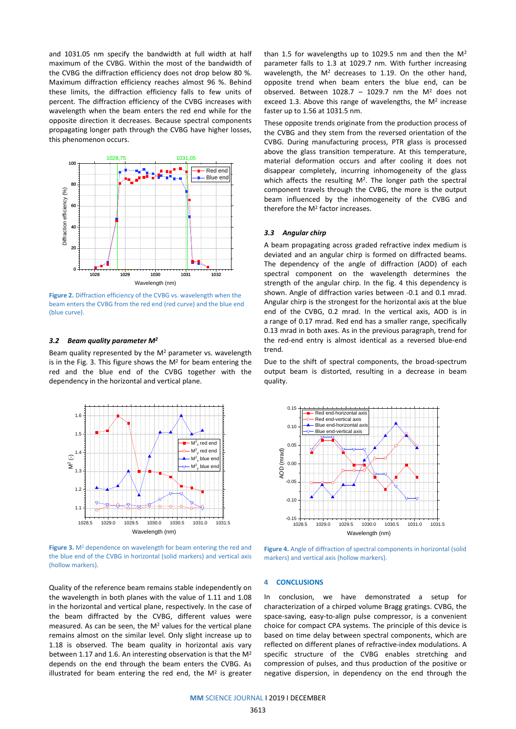and 1031.05 nm specify the bandwidth at full width at half maximum of the CVBG. Within the most of the bandwidth of the CVBG the diffraction efficiency does not drop below 80 %. Maximum diffraction efficiency reaches almost 96 %. Behind these limits, the diffraction efficiency falls to few units of percent. The diffraction efficiency of the CVBG increases with wavelength when the beam enters the red end while for the opposite direction it decreases. Because spectral components propagating longer path through the CVBG have higher losses, this phenomenon occurs.



**Figure 2.** Diffraction efficiency of the CVBG vs. wavelength when the beam enters the CVBG from the red end (red curve) and the blue end (blue curve).

#### *3.2 Beam quality parameter M<sup>2</sup>*

Beam quality represented by the M<sup>2</sup> parameter vs. wavelength is in the Fig. 3. This figure shows the  $M^2$  for beam entering the red and the blue end of the CVBG together with the dependency in the horizontal and vertical plane.



**Figure 3.** M<sup>2</sup> dependence on wavelength for beam entering the red and the blue end of the CVBG in horizontal (solid markers) and vertical axis (hollow markers).

Quality of the reference beam remains stable independently on the wavelength in both planes with the value of 1.11 and 1.08 in the horizontal and vertical plane, respectively. In the case of the beam diffracted by the CVBG, different values were measured. As can be seen, the  $M<sup>2</sup>$  values for the vertical plane remains almost on the similar level. Only slight increase up to 1.18 is observed. The beam quality in horizontal axis vary between 1.17 and 1.6. An interesting observation is that the M<sup>2</sup> depends on the end through the beam enters the CVBG. As illustrated for beam entering the red end, the  $M^2$  is greater than 1.5 for wavelengths up to 1029.5 nm and then the  $M^2$ parameter falls to 1.3 at 1029.7 nm. With further increasing wavelength, the  $M^2$  decreases to 1.19. On the other hand, opposite trend when beam enters the blue end, can be observed. Between 1028.7 - 1029.7 nm the  $M^2$  does not exceed 1.3. Above this range of wavelengths, the  $M^2$  increase faster up to 1.56 at 1031.5 nm.

These opposite trends originate from the production process of the CVBG and they stem from the reversed orientation of the CVBG. During manufacturing process, PTR glass is processed above the glass transition temperature. At this temperature, material deformation occurs and after cooling it does not disappear completely, incurring inhomogeneity of the glass which affects the resulting  $M^2$ . The longer path the spectral component travels through the CVBG, the more is the output beam influenced by the inhomogeneity of the CVBG and therefore the M<sup>2</sup> factor increases.

## *3.3 Angular chirp*

A beam propagating across graded refractive index medium is deviated and an angular chirp is formed on diffracted beams. The dependency of the angle of diffraction (AOD) of each spectral component on the wavelength determines the strength of the angular chirp. In the fig. 4 this dependency is shown. Angle of diffraction varies between -0.1 and 0.1 mrad. Angular chirp is the strongest for the horizontal axis at the blue end of the CVBG, 0.2 mrad. In the vertical axis, AOD is in a range of 0.17 mrad. Red end has a smaller range, specifically 0.13 mrad in both axes. As in the previous paragraph, trend for the red-end entry is almost identical as a reversed blue-end trend.

Due to the shift of spectral components, the broad-spectrum output beam is distorted, resulting in a decrease in beam quality.



**Figure 4.** Angle of diffraction of spectral components in horizontal (solid markers) and vertical axis (hollow markers).

#### **4 CONCLUSIONS**

In conclusion, we have demonstrated a setup for characterization of a chirped volume Bragg gratings. CVBG, the space-saving, easy-to-align pulse compressor, is a convenient choice for compact CPA systems. The principle of this device is based on time delay between spectral components, which are reflected on different planes of refractive-index modulations. A specific structure of the CVBG enables stretching and compression of pulses, and thus production of the positive or negative dispersion, in dependency on the end through the